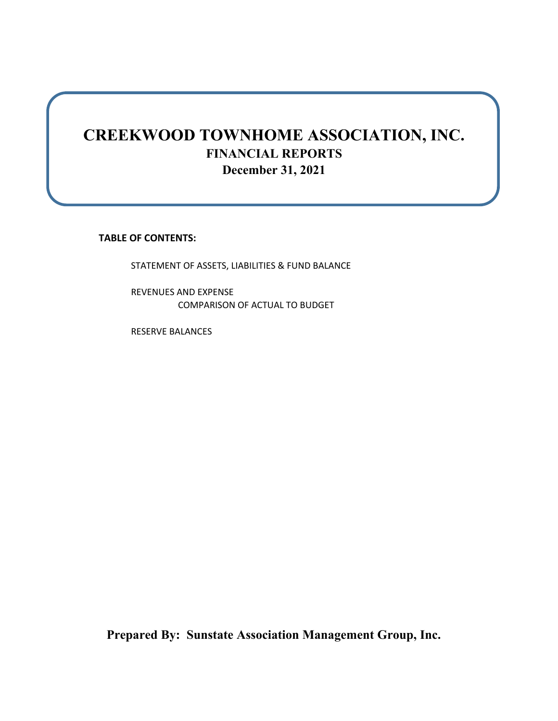## **CREEKWOOD TOWNHOME ASSOCIATION, INC. FINANCIAL REPORTS December 31, 2021**

**TABLE OF CONTENTS:**

STATEMENT OF ASSETS, LIABILITIES & FUND BALANCE

REVENUES AND EXPENSE COMPARISON OF ACTUAL TO BUDGET

RESERVE BALANCES

**Prepared By: Sunstate Association Management Group, Inc.**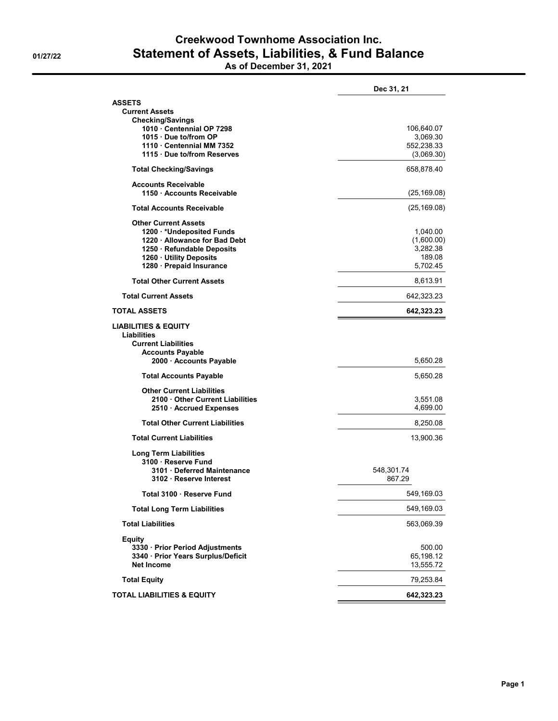## **Creekwood Townhome Association Inc. 01/27/22 Statement of Assets, Liabilities, & Fund Balance As of December 31, 2021**

|  |  |  | As of December 31, 202 |  |  |
|--|--|--|------------------------|--|--|
|--|--|--|------------------------|--|--|

|                                                         | Dec 31, 21             |
|---------------------------------------------------------|------------------------|
| <b>ASSETS</b>                                           |                        |
| <b>Current Assets</b><br><b>Checking/Savings</b>        |                        |
| 1010 Centennial OP 7298                                 | 106,640.07             |
| 1015 Due to/from OP                                     | 3,069.30               |
| 1110 Centennial MM 7352                                 | 552,238.33             |
| 1115 Due to/from Reserves                               | (3,069.30)             |
| <b>Total Checking/Savings</b>                           | 658,878.40             |
| <b>Accounts Receivable</b><br>1150 Accounts Receivable  | (25, 169.08)           |
| <b>Total Accounts Receivable</b>                        | (25, 169.08)           |
| <b>Other Current Assets</b>                             |                        |
| 1200 VUndeposited Funds                                 | 1,040.00               |
| 1220 · Allowance for Bad Debt                           | (1,600.00)             |
| 1250 · Refundable Deposits<br>1260 Utility Deposits     | 3,282.38<br>189.08     |
| 1280 · Prepaid Insurance                                | 5,702.45               |
| <b>Total Other Current Assets</b>                       | 8,613.91               |
| <b>Total Current Assets</b>                             | 642,323.23             |
| <b>TOTAL ASSETS</b>                                     | 642,323.23             |
| <b>LIABILITIES &amp; EQUITY</b><br><b>Liabilities</b>   |                        |
| <b>Current Liabilities</b>                              |                        |
| <b>Accounts Payable</b>                                 |                        |
| 2000 Accounts Payable                                   | 5,650.28               |
| <b>Total Accounts Payable</b>                           | 5,650.28               |
| <b>Other Current Liabilities</b>                        |                        |
| 2100 Other Current Liabilities                          | 3,551.08               |
| 2510 · Accrued Expenses                                 | 4,699.00               |
| <b>Total Other Current Liabilities</b>                  | 8,250.08               |
| <b>Total Current Liabilities</b>                        | 13,900.36              |
| <b>Long Term Liabilities</b>                            |                        |
| 3100 Reserve Fund                                       |                        |
| 3101 Deferred Maintenance<br>3102 Reserve Interest      | 548,301.74<br>867.29   |
|                                                         |                        |
| Total 3100 · Reserve Fund                               | 549,169.03             |
| <b>Total Long Term Liabilities</b>                      | 549,169.03             |
| <b>Total Liabilities</b>                                | 563,069.39             |
| Equity                                                  |                        |
| 3330 · Prior Period Adjustments                         | 500.00                 |
| 3340 · Prior Years Surplus/Deficit<br><b>Net Income</b> | 65,198.12<br>13,555.72 |
|                                                         |                        |
| <b>Total Equity</b>                                     | 79,253.84              |
| <b>TOTAL LIABILITIES &amp; EQUITY</b>                   | 642,323.23             |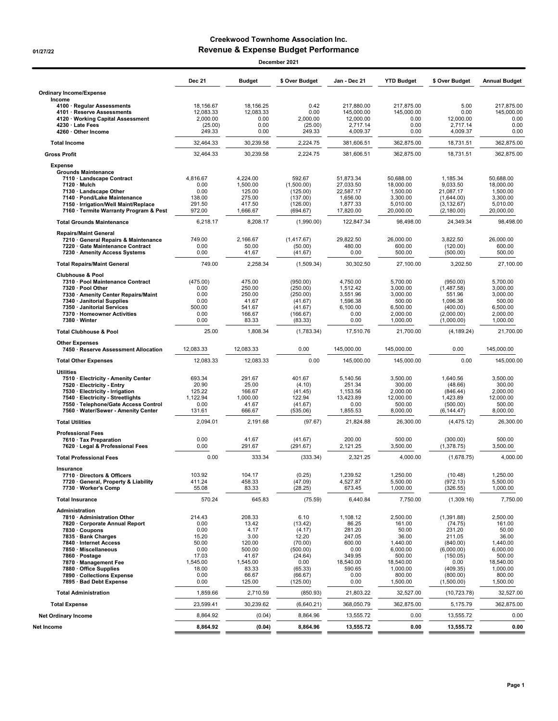## **Creekwood Townhome Association Inc. 01/27/22 Revenue & Expense Budget Performance**

| December 2021                                                                                                                                                                                                                                                                                            |                                                                                                |                                                                                                      |                                                                                                                |                                                                                                          |                                                                                                                       |                                                                                                                               |                                                                                                                       |
|----------------------------------------------------------------------------------------------------------------------------------------------------------------------------------------------------------------------------------------------------------------------------------------------------------|------------------------------------------------------------------------------------------------|------------------------------------------------------------------------------------------------------|----------------------------------------------------------------------------------------------------------------|----------------------------------------------------------------------------------------------------------|-----------------------------------------------------------------------------------------------------------------------|-------------------------------------------------------------------------------------------------------------------------------|-----------------------------------------------------------------------------------------------------------------------|
|                                                                                                                                                                                                                                                                                                          | <b>Dec 21</b>                                                                                  | <b>Budget</b>                                                                                        | \$ Over Budget                                                                                                 | Jan - Dec 21                                                                                             | <b>YTD Budget</b>                                                                                                     | \$ Over Budget                                                                                                                | <b>Annual Budget</b>                                                                                                  |
| <b>Ordinary Income/Expense</b><br>Income                                                                                                                                                                                                                                                                 |                                                                                                |                                                                                                      |                                                                                                                |                                                                                                          |                                                                                                                       |                                                                                                                               |                                                                                                                       |
| 4100 · Regular Assessments<br>4101 · Reserve Assessments<br>4120 · Working Capital Assessment<br>4230 · Late Fees<br>4260 · Other Income                                                                                                                                                                 | 18.156.67<br>12,083.33<br>2,000.00<br>(25.00)<br>249.33                                        | 18.156.25<br>12,083.33<br>0.00<br>0.00<br>0.00                                                       | 0.42<br>0.00<br>2,000.00<br>(25.00)<br>249.33                                                                  | 217,880.00<br>145,000.00<br>12,000.00<br>2,717.14<br>4,009.37                                            | 217,875.00<br>145.000.00<br>0.00<br>0.00<br>0.00                                                                      | 5.00<br>0.00<br>12,000.00<br>2,717.14<br>4,009.37                                                                             | 217.875.00<br>145,000.00<br>0.00<br>0.00<br>0.00                                                                      |
| <b>Total Income</b>                                                                                                                                                                                                                                                                                      | 32,464.33                                                                                      | 30,239.58                                                                                            | 2,224.75                                                                                                       | 381,606.51                                                                                               | 362,875.00                                                                                                            | 18,731.51                                                                                                                     | 362,875.00                                                                                                            |
| <b>Gross Profit</b>                                                                                                                                                                                                                                                                                      | 32,464.33                                                                                      | 30,239.58                                                                                            | 2,224.75                                                                                                       | 381,606.51                                                                                               | 362,875.00                                                                                                            | 18,731.51                                                                                                                     | 362,875.00                                                                                                            |
| <b>Expense</b><br><b>Grounds Maintenance</b><br>7110 · Landscape Contract<br>$7120 \cdot \text{Mulch}$<br>7130 · Landscape Other<br>7140 · Pond/Lake Maintenance<br>7150 · Irrigation/Well Maint/Replace                                                                                                 | 4.816.67<br>0.00<br>0.00<br>138.00<br>291.50                                                   | 4,224.00<br>1,500.00<br>125.00<br>275.00<br>417.50                                                   | 592.67<br>(1,500.00)<br>(125.00)<br>(137.00)<br>(126.00)                                                       | 51,873.34<br>27,033.50<br>22,587.17<br>1,656.00<br>1,877.33                                              | 50,688.00<br>18,000.00<br>1,500.00<br>3,300.00<br>5,010.00                                                            | 1,185.34<br>9,033.50<br>21,087.17<br>(1,644.00)<br>(3, 132.67)                                                                | 50,688.00<br>18,000.00<br>1,500.00<br>3,300.00<br>5,010.00                                                            |
| 7160 · Termite Warranty Program & Pest                                                                                                                                                                                                                                                                   | 972.00                                                                                         | 1,666.67                                                                                             | (694.67)                                                                                                       | 17,820.00                                                                                                | 20,000.00                                                                                                             | (2, 180.00)                                                                                                                   | 20,000.00                                                                                                             |
| <b>Total Grounds Maintenance</b>                                                                                                                                                                                                                                                                         | 6,218.17                                                                                       | 8,208.17                                                                                             | (1,990.00)                                                                                                     | 122,847.34                                                                                               | 98,498.00                                                                                                             | 24,349.34                                                                                                                     | 98,498.00                                                                                                             |
| <b>Repairs/Maint General</b><br>7210 · General Repairs & Maintenance<br>7220 · Gate Maintenance Contract<br>7230 · Amenity Access Systems                                                                                                                                                                | 749.00<br>0.00<br>0.00                                                                         | 2,166.67<br>50.00<br>41.67                                                                           | (1.417.67)<br>(50.00)<br>(41.67)                                                                               | 29.822.50<br>480.00<br>0.00                                                                              | 26,000.00<br>600.00<br>500.00                                                                                         | 3,822.50<br>(120.00)<br>(500.00)                                                                                              | 26,000.00<br>600.00<br>500.00                                                                                         |
| <b>Total Repairs/Maint General</b>                                                                                                                                                                                                                                                                       | 749.00                                                                                         | 2,258.34                                                                                             | (1,509.34)                                                                                                     | 30.302.50                                                                                                | 27,100.00                                                                                                             | 3.202.50                                                                                                                      | 27,100.00                                                                                                             |
| <b>Clubhouse &amp; Pool</b><br>7310 · Pool Maintenance Contract<br>7320 · Pool Other<br>7330 · Amenity Center Repairs/Maint<br>7340 · Janitorial Supplies<br>7350 · Janitorial Services<br>7370 · Homeowner Activities<br>7380 · Winter                                                                  | (475.00)<br>0.00<br>0.00<br>0.00<br>500.00<br>0.00<br>0.00                                     | 475.00<br>250.00<br>250.00<br>41.67<br>541.67<br>166.67<br>83.33                                     | (950.00)<br>(250.00)<br>(250.00)<br>(41.67)<br>(41.67)<br>(166.67)<br>(83.33)                                  | 4,750.00<br>1,512.42<br>3,551.96<br>1,596.38<br>6,100.00<br>0.00<br>0.00                                 | 5,700.00<br>3,000.00<br>3,000.00<br>500.00<br>6,500.00<br>2,000.00<br>1,000.00                                        | (950.00)<br>(1,487.58)<br>551.96<br>1.096.38<br>(400.00)<br>(2,000.00)<br>(1,000.00)                                          | 5,700.00<br>3,000.00<br>3,000.00<br>500.00<br>6,500.00<br>2,000.00<br>1,000.00                                        |
| <b>Total Clubhouse &amp; Pool</b>                                                                                                                                                                                                                                                                        | 25.00                                                                                          | 1,808.34                                                                                             | (1,783.34)                                                                                                     | 17,510.76                                                                                                | 21,700.00                                                                                                             | (4, 189.24)                                                                                                                   | 21,700.00                                                                                                             |
| <b>Other Expenses</b>                                                                                                                                                                                                                                                                                    |                                                                                                |                                                                                                      |                                                                                                                |                                                                                                          |                                                                                                                       |                                                                                                                               |                                                                                                                       |
| 7450 · Reserve Assessment Allocation                                                                                                                                                                                                                                                                     | 12,083.33                                                                                      | 12,083.33                                                                                            | 0.00                                                                                                           | 145,000.00                                                                                               | 145,000.00                                                                                                            | 0.00                                                                                                                          | 145,000.00                                                                                                            |
| <b>Total Other Expenses</b>                                                                                                                                                                                                                                                                              | 12,083.33                                                                                      | 12,083.33                                                                                            | 0.00                                                                                                           | 145,000.00                                                                                               | 145,000.00                                                                                                            | 0.00                                                                                                                          | 145,000.00                                                                                                            |
| <b>Utilities</b><br>7510 · Electricity - Amenity Center<br>7520 · Electricity - Entry<br>7530 · Electricity - Irrigation<br>7540 · Electricity - Streetlights<br>7550 · Telephone/Gate Access Control<br>7560 · Water/Sewer - Amenity Center                                                             | 693.34<br>20.90<br>125.22<br>1,122.94<br>0.00<br>131.61                                        | 291.67<br>25.00<br>166.67<br>1,000.00<br>41.67<br>666.67                                             | 401.67<br>(4.10)<br>(41.45)<br>122.94<br>(41.67)<br>(535.06)                                                   | 5,140.56<br>251.34<br>1,153.56<br>13,423.89<br>0.00<br>1,855.53                                          | 3,500.00<br>300.00<br>2,000.00<br>12,000.00<br>500.00<br>8,000.00                                                     | 1,640.56<br>(48.66)<br>(846.44)<br>1,423.89<br>(500.00)<br>(6, 144.47)                                                        | 3,500.00<br>300.00<br>2,000.00<br>12,000.00<br>500.00<br>8,000.00                                                     |
| <b>Total Utilities</b>                                                                                                                                                                                                                                                                                   | 2,094.01                                                                                       | 2.191.68                                                                                             | (97.67)                                                                                                        | 21,824.88                                                                                                | 26,300.00                                                                                                             | (4, 475.12)                                                                                                                   | 26,300.00                                                                                                             |
| <b>Professional Fees</b><br>7610 · Tax Preparation<br>7620 · Legal & Professional Fees                                                                                                                                                                                                                   | 0.00<br>0.00                                                                                   | 41.67<br>291.67                                                                                      | (41.67)<br>(291.67)                                                                                            | 200.00<br>2,121.25                                                                                       | 500.00<br>3,500.00                                                                                                    | (300.00)<br>(1,378.75)                                                                                                        | 500.00<br>3,500.00                                                                                                    |
| <b>Total Professional Fees</b>                                                                                                                                                                                                                                                                           | 0.00                                                                                           | 333.34                                                                                               | (333.34)                                                                                                       | 2.321.25                                                                                                 | 4.000.00                                                                                                              | (1,678.75)                                                                                                                    | 4,000.00                                                                                                              |
| Insurance<br>7710 · Directors & Officers<br>7720 · General, Property & Liability<br>7730 · Worker's Comp                                                                                                                                                                                                 | 103.92<br>411.24<br>55.08                                                                      | 104.17<br>458.33<br>83.33                                                                            | (0.25)<br>(47.09)<br>(28.25)                                                                                   | 1,239.52<br>4,527.87<br>673.45                                                                           | 1,250.00<br>5,500.00<br>1,000.00                                                                                      | (10.48)<br>(972.13)<br>(326.55)                                                                                               | 1,250.00<br>5,500.00<br>1,000.00                                                                                      |
| <b>Total Insurance</b>                                                                                                                                                                                                                                                                                   | 570.24                                                                                         | 645.83                                                                                               | (75.59)                                                                                                        | 6,440.84                                                                                                 | 7,750.00                                                                                                              | (1,309.16)                                                                                                                    | 7,750.00                                                                                                              |
| Administration<br>7810 · Administration Other<br>7820 · Corporate Annual Report<br>7830 · Coupons<br>7835 · Bank Charges<br>7840 · Internet Access<br>7850 · Miscellaneous<br>7860 · Postage<br>7870 · Management Fee<br>7880 · Office Supplies<br>7890 · Collections Expense<br>7895 · Bad Debt Expense | 214.43<br>0.00<br>0.00<br>15.20<br>50.00<br>0.00<br>17.03<br>1,545.00<br>18.00<br>0.00<br>0.00 | 208.33<br>13.42<br>4.17<br>3.00<br>120.00<br>500.00<br>41.67<br>1,545.00<br>83.33<br>66.67<br>125.00 | 6.10<br>(13.42)<br>(4.17)<br>12.20<br>(70.00)<br>(500.00)<br>(24.64)<br>0.00<br>(65.33)<br>(66.67)<br>(125.00) | 1,108.12<br>86.25<br>281.20<br>247.05<br>600.00<br>0.00<br>349.95<br>18,540.00<br>590.65<br>0.00<br>0.00 | 2,500.00<br>161.00<br>50.00<br>36.00<br>1,440.00<br>6,000.00<br>500.00<br>18,540.00<br>1,000.00<br>800.00<br>1,500.00 | (1,391.88)<br>(74.75)<br>231.20<br>211.05<br>(840.00)<br>(6,000.00)<br>(150.05)<br>0.00<br>(409.35)<br>(800.00)<br>(1,500.00) | 2,500.00<br>161.00<br>50.00<br>36.00<br>1,440.00<br>6,000.00<br>500.00<br>18,540.00<br>1,000.00<br>800.00<br>1,500.00 |
| <b>Total Administration</b>                                                                                                                                                                                                                                                                              | 1,859.66                                                                                       | 2,710.59                                                                                             | (850.93)                                                                                                       | 21,803.22                                                                                                | 32,527.00                                                                                                             | (10, 723.78)                                                                                                                  | 32,527.00                                                                                                             |
| <b>Total Expense</b>                                                                                                                                                                                                                                                                                     | 23,599.41                                                                                      | 30,239.62                                                                                            | (6,640.21)                                                                                                     | 368,050.79                                                                                               | 362,875.00                                                                                                            | 5,175.79                                                                                                                      | 362,875.00                                                                                                            |
| <b>Net Ordinary Income</b>                                                                                                                                                                                                                                                                               | 8,864.92                                                                                       | (0.04)                                                                                               | 8,864.96                                                                                                       | 13,555.72                                                                                                | 0.00                                                                                                                  | 13,555.72                                                                                                                     | 0.00                                                                                                                  |
| Net Income                                                                                                                                                                                                                                                                                               | 8,864.92                                                                                       | (0.04)                                                                                               | 8,864.96                                                                                                       | 13,555.72                                                                                                | 0.00                                                                                                                  | 13,555.72                                                                                                                     | 0.00                                                                                                                  |